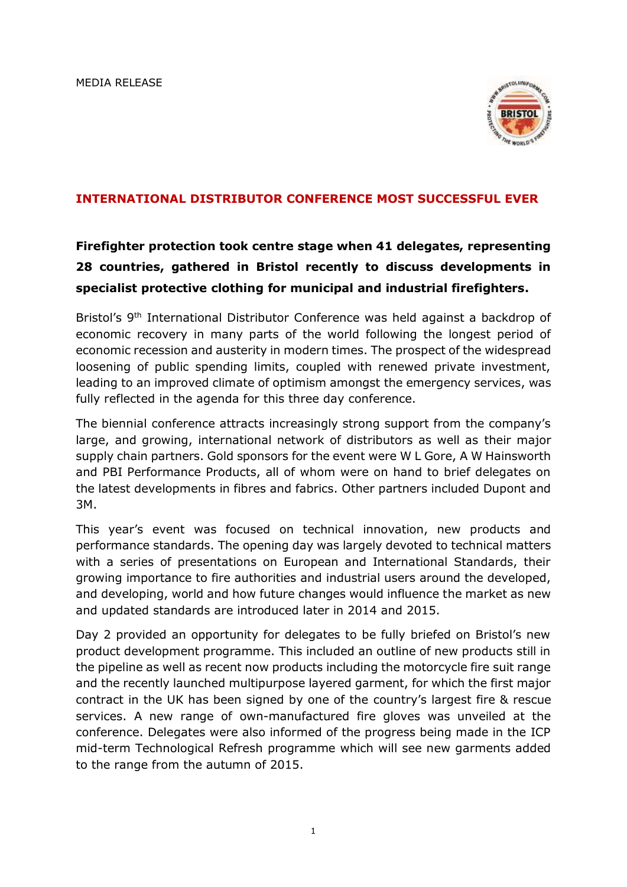

## **INTERNATIONAL DISTRIBUTOR CONFERENCE MOST SUCCESSFUL EVER**

## **Firefighter protection took centre stage when 41 delegates, representing 28 countries, gathered in Bristol recently to discuss developments in specialist protective clothing for municipal and industrial firefighters.**

Bristol's 9<sup>th</sup> International Distributor Conference was held against a backdrop of economic recovery in many parts of the world following the longest period of economic recession and austerity in modern times. The prospect of the widespread loosening of public spending limits, coupled with renewed private investment, leading to an improved climate of optimism amongst the emergency services, was fully reflected in the agenda for this three day conference.

The biennial conference attracts increasingly strong support from the company's large, and growing, international network of distributors as well as their major supply chain partners. Gold sponsors for the event were W L Gore, A W Hainsworth and PBI Performance Products, all of whom were on hand to brief delegates on the latest developments in fibres and fabrics. Other partners included Dupont and 3M.

This year's event was focused on technical innovation, new products and performance standards. The opening day was largely devoted to technical matters with a series of presentations on European and International Standards, their growing importance to fire authorities and industrial users around the developed, and developing, world and how future changes would influence the market as new and updated standards are introduced later in 2014 and 2015.

Day 2 provided an opportunity for delegates to be fully briefed on Bristol's new product development programme. This included an outline of new products still in the pipeline as well as recent now products including the motorcycle fire suit range and the recently launched multipurpose layered garment, for which the first major contract in the UK has been signed by one of the country's largest fire & rescue services. A new range of own-manufactured fire gloves was unveiled at the conference. Delegates were also informed of the progress being made in the ICP mid-term Technological Refresh programme which will see new garments added to the range from the autumn of 2015.